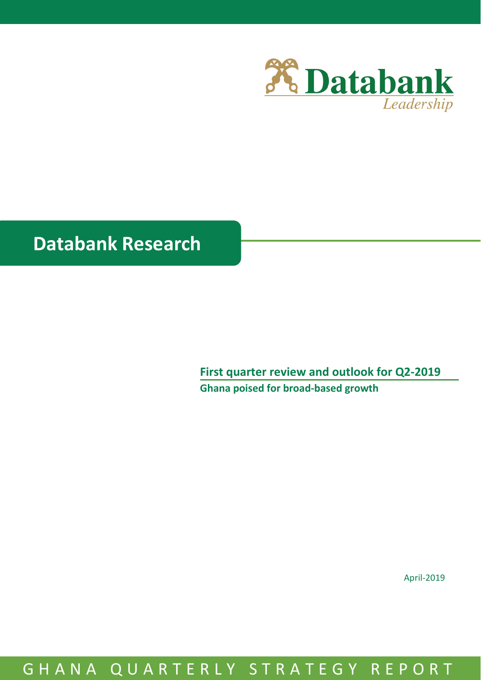

# **Databank Research**

**First quarter review and outlook for Q2-2019 Ghana poised for broad-based growth**

April-2019

# GHANA QUARTERLY STRATEGY REPORT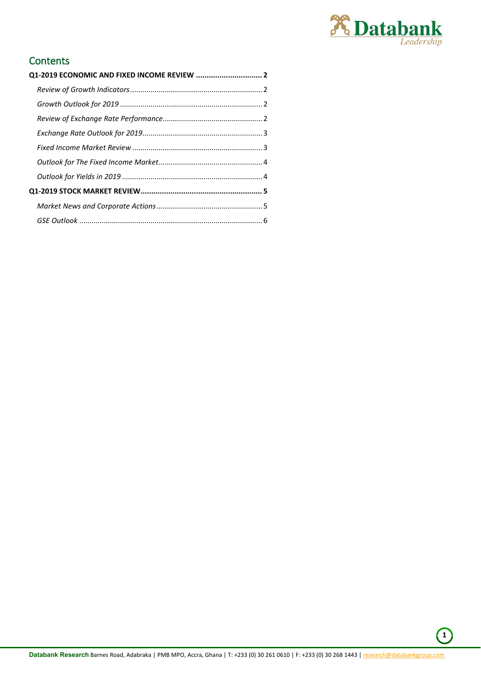

# **Contents**

| Q1-2019 ECONOMIC AND FIXED INCOME REVIEW  2 |  |
|---------------------------------------------|--|
|                                             |  |
|                                             |  |
|                                             |  |
|                                             |  |
|                                             |  |
|                                             |  |
|                                             |  |
|                                             |  |
|                                             |  |
|                                             |  |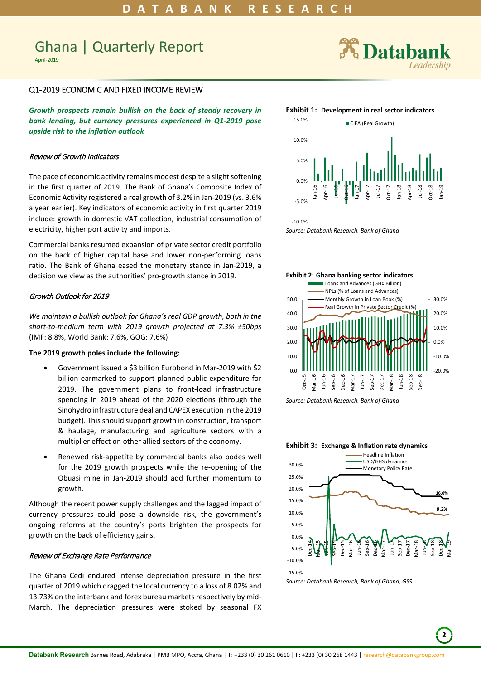# Ghana | Quarterly Report

April-2019

# <span id="page-2-0"></span>Q1-2019 ECONOMIC AND FIXED INCOME REVIEW

*Growth prospects remain bullish on the back of steady recovery in bank lending, but currency pressures experienced in Q1-2019 pose upside risk to the inflation outlook*

## <span id="page-2-1"></span>Review of Growth Indicators

The pace of economic activity remains modest despite a slight softening in the first quarter of 2019. The Bank of Ghana's Composite Index of Economic Activity registered a real growth of 3.2% in Jan-2019 (vs. 3.6% a year earlier). Key indicators of economic activity in first quarter 2019 include: growth in domestic VAT collection, industrial consumption of electricity, higher port activity and imports.

Commercial banks resumed expansion of private sector credit portfolio on the back of higher capital base and lower non-performing loans ratio. The Bank of Ghana eased the monetary stance in Jan-2019, a decision we view as the authorities' pro-growth stance in 2019.

# <span id="page-2-2"></span>Growth Outlook for 2019

*We maintain a bullish outlook for Ghana's real GDP growth, both in the short-to-medium term with 2019 growth projected at 7.3% ±50bps* (IMF: 8.8%, World Bank: 7.6%, GOG: 7.6%)

#### **The 2019 growth poles include the following:**

- Government issued a \$3 billion Eurobond in Mar-2019 with \$2 billion earmarked to support planned public expenditure for 2019. The government plans to front-load infrastructure spending in 2019 ahead of the 2020 elections (through the Sinohydro infrastructure deal and CAPEX execution in the 2019 budget). This should support growth in construction, transport & haulage, manufacturing and agriculture sectors with a multiplier effect on other allied sectors of the economy.
- Renewed risk-appetite by commercial banks also bodes well for the 2019 growth prospects while the re-opening of the Obuasi mine in Jan-2019 should add further momentum to growth.

Although the recent power supply challenges and the lagged impact of currency pressures could pose a downside risk, the government's ongoing reforms at the country's ports brighten the prospects for growth on the back of efficiency gains.

# <span id="page-2-3"></span>Review of Exchange Rate Performance

The Ghana Cedi endured intense depreciation pressure in the first quarter of 2019 which dragged the local currency to a loss of 8.02% and 13.73% on the interbank and forex bureau markets respectively by mid-March. The depreciation pressures were stoked by seasonal FX



#### **Exhibit 1: Development in real sector indicators**







*Source: Databank Research, Bank of Ghana*

#### **Exhibit 3: Exchange & Inflation rate dynamics**



*Source: Databank Research, Bank of Ghana, GSS*

**2**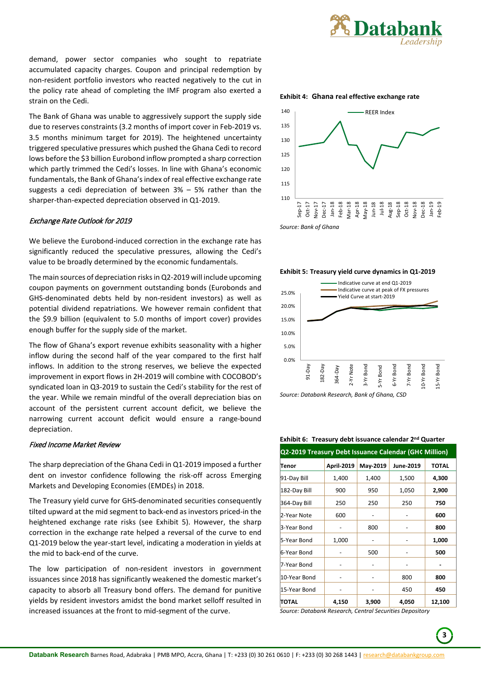

demand, power sector companies who sought to repatriate accumulated capacity charges. Coupon and principal redemption by non-resident portfolio investors who reacted negatively to the cut in the policy rate ahead of completing the IMF program also exerted a strain on the Cedi.

The Bank of Ghana was unable to aggressively support the supply side due to reserves constraints (3.2 months of import cover in Feb-2019 vs. 3.5 months minimum target for 2019). The heightened uncertainty triggered speculative pressures which pushed the Ghana Cedi to record lows before the \$3 billion Eurobond inflow prompted a sharp correction which partly trimmed the Cedi's losses. In line with Ghana's economic fundamentals, the Bank of Ghana's index of real effective exchange rate suggests a cedi depreciation of between 3% – 5% rather than the sharper-than-expected depreciation observed in Q1-2019.

# <span id="page-3-0"></span>Exchange Rate Outlook for 2019

We believe the Eurobond-induced correction in the exchange rate has significantly reduced the speculative pressures, allowing the Cedi's value to be broadly determined by the economic fundamentals.

The main sources of depreciation risks in Q2-2019 will include upcoming coupon payments on government outstanding bonds (Eurobonds and GHS-denominated debts held by non-resident investors) as well as potential dividend repatriations. We however remain confident that the \$9.9 billion (equivalent to 5.0 months of import cover) provides enough buffer for the supply side of the market.

The flow of Ghana's export revenue exhibits seasonality with a higher inflow during the second half of the year compared to the first half inflows. In addition to the strong reserves, we believe the expected improvement in export flows in 2H-2019 will combine with COCOBOD's syndicated loan in Q3-2019 to sustain the Cedi's stability for the rest of the year. While we remain mindful of the overall depreciation bias on account of the persistent current account deficit, we believe the narrowing current account deficit would ensure a range-bound depreciation.

### <span id="page-3-1"></span>Fixed Income Market Review

The sharp depreciation of the Ghana Cedi in Q1-2019 imposed a further dent on investor confidence following the risk-off across Emerging Markets and Developing Economies (EMDEs) in 2018.

The Treasury yield curve for GHS-denominated securities consequently tilted upward at the mid segment to back-end as investors priced-in the heightened exchange rate risks (see Exhibit 5). However, the sharp correction in the exchange rate helped a reversal of the curve to end Q1-2019 below the year-start level, indicating a moderation in yields at the mid to back-end of the curve.

The low participation of non-resident investors in government issuances since 2018 has significantly weakened the domestic market's capacity to absorb all Treasury bond offers. The demand for punitive yields by resident investors amidst the bond market selloff resulted in increased issuances at the front to mid-segment of the curve.

**Exhibit 4: Ghana real effective exchange rate** 







*Source: Databank Research, Bank of Ghana, CSD*

**Exhibit 6: Treasury debt issuance calendar 2nd Quarter**

| Q2-2019 Treasury Debt Issuance Calendar (GH¢ Million) |                   |          |           |              |  |
|-------------------------------------------------------|-------------------|----------|-----------|--------------|--|
| Tenor                                                 | <b>April-2019</b> | May-2019 | June-2019 | <b>TOTAL</b> |  |
| 91-Day Bill                                           | 1,400             | 1,400    | 1,500     | 4,300        |  |
| 182-Day Bill                                          | 900               | 950      | 1,050     | 2,900        |  |
| 364-Day Bill                                          | 250               | 250      | 250       | 750          |  |
| 2-Year Note                                           | 600               |          |           | 600          |  |
| 3-Year Bond                                           |                   | 800      |           | 800          |  |
| 5-Year Bond                                           | 1,000             |          |           | 1,000        |  |
| 6-Year Bond                                           |                   | 500      |           | 500          |  |
| 7-Year Bond                                           |                   |          |           |              |  |
| 10-Year Bond                                          |                   |          | 800       | 800          |  |
| 15-Year Bond                                          |                   |          | 450       | 450          |  |
| TOTAL                                                 | 4,150             | 3,900    | 4,050     | 12,100       |  |

*Source: Databank Research, Central Securities Depository*

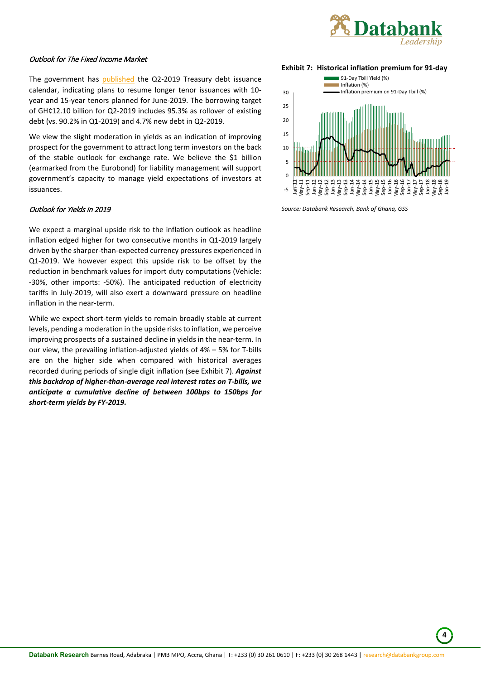

# <span id="page-4-0"></span>Outlook for The Fixed Income Market

The government has [published](http://mofep.gov.gh/sites/default/files/news/Issuance-Calendar-2019-Q2.pdf) the Q2-2019 Treasury debt issuance calendar, indicating plans to resume longer tenor issuances with 10 year and 15-year tenors planned for June-2019. The borrowing target of GH¢12.10 billion for Q2-2019 includes 95.3% as rollover of existing debt (vs. 90.2% in Q1-2019) and 4.7% new debt in Q2-2019.

We view the slight moderation in yields as an indication of improving prospect for the government to attract long term investors on the back of the stable outlook for exchange rate. We believe the \$1 billion (earmarked from the Eurobond) for liability management will support government's capacity to manage yield expectations of investors at issuances.

# <span id="page-4-1"></span>Outlook for Yields in 2019

We expect a marginal upside risk to the inflation outlook as headline inflation edged higher for two consecutive months in Q1-2019 largely driven by the sharper-than-expected currency pressures experienced in Q1-2019. We however expect this upside risk to be offset by the reduction in benchmark values for import duty computations (Vehicle: -30%, other imports: -50%). The anticipated reduction of electricity tariffs in July-2019, will also exert a downward pressure on headline inflation in the near-term.

While we expect short-term yields to remain broadly stable at current levels, pending a moderation in the upside risks to inflation, we perceive improving prospects of a sustained decline in yields in the near-term. In our view, the prevailing inflation-adjusted yields of 4% – 5% for T-bills are on the higher side when compared with historical averages recorded during periods of single digit inflation (see Exhibit 7). *Against this backdrop of higher-than-average real interest rates on T-bills, we anticipate a cumulative decline of between 100bps to 150bps for short-term yields by FY-2019.*

**Exhibit 7: Historical inflation premium for 91-day** 



**4**

*Source: Databank Research, Bank of Ghana, GSS*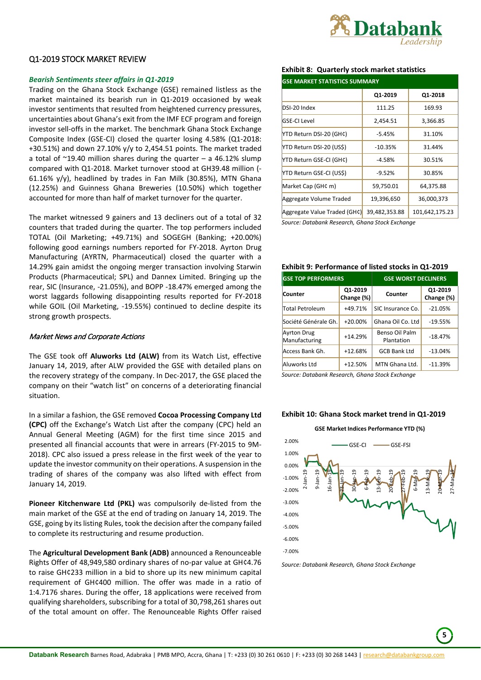

# <span id="page-5-0"></span>Q1-2019 STOCK MARKET REVIEW

### *Bearish Sentiments steer affairs in Q1-2019*

Trading on the Ghana Stock Exchange (GSE) remained listless as the market maintained its bearish run in Q1-2019 occasioned by weak investor sentiments that resulted from heightened currency pressures, uncertainties about Ghana's exit from the IMF ECF program and foreign investor sell-offs in the market. The benchmark Ghana Stock Exchange Composite Index (GSE-CI) closed the quarter losing 4.58% (Q1-2018: +30.51%) and down 27.10%  $y/y$  to 2,454.51 points. The market traded a total of  $\approx$ 19.40 million shares during the quarter – a 46.12% slump compared with Q1-2018. Market turnover stood at GH39.48 million (- 61.16% y/y), headlined by trades in Fan Milk (30.85%), MTN Ghana (12.25%) and Guinness Ghana Breweries (10.50%) which together accounted for more than half of market turnover for the quarter.

The market witnessed 9 gainers and 13 decliners out of a total of 32 counters that traded during the quarter. The top performers included TOTAL (Oil Marketing; +49.71%) and SOGEGH (Banking; +20.00%) following good earnings numbers reported for FY-2018. Ayrton Drug Manufacturing (AYRTN, Pharmaceutical) closed the quarter with a 14.29% gain amidst the ongoing merger transaction involving Starwin Products (Pharmaceutical; SPL) and Dannex Limited. Bringing up the rear, SIC (Insurance, -21.05%), and BOPP -18.47% emerged among the worst laggards following disappointing results reported for FY-2018 while GOIL (Oil Marketing, -19.55%) continued to decline despite its strong growth prospects.

#### <span id="page-5-1"></span>Market News and Corporate Actions

The GSE took off **Aluworks Ltd (ALW)** from its Watch List, effective January 14, 2019, after ALW provided the GSE with detailed plans on the recovery strategy of the company. In Dec-2017, the GSE placed the company on their "watch list" on concerns of a deteriorating financial situation.

In a similar a fashion, the GSE removed **Cocoa Processing Company Ltd (CPC)** off the Exchange's Watch List after the company (CPC) held an Annual General Meeting (AGM) for the first time since 2015 and presented all financial accounts that were in arrears (FY-2015 to 9M-2018). CPC also issued a press release in the first week of the year to update the investor community on their operations. A suspension in the trading of shares of the company was also lifted with effect from January 14, 2019.

**Pioneer Kitchenware Ltd (PKL)** was compulsorily de-listed from the main market of the GSE at the end of trading on January 14, 2019. The GSE, going by its listing Rules, took the decision after the company failed to complete its restructuring and resume production.

The **Agricultural Development Bank (ADB)** announced a Renounceable Rights Offer of 48,949,580 ordinary shares of no-par value at GH¢4.76 to raise GH¢233 million in a bid to shore up its new minimum capital requirement of GH¢400 million. The offer was made in a ratio of 1:4.7176 shares. During the offer, 18 applications were received from qualifying shareholders, subscribing for a total of 30,798,261 shares out of the total amount on offer. The Renounceable Rights Offer raised

# **Exhibit 8: Quarterly stock market statistics**

| <b>GSE MARKET STATISTICS SUMMARY</b> |               |                |  |  |
|--------------------------------------|---------------|----------------|--|--|
|                                      | Q1-2019       | Q1-2018        |  |  |
| DSI-20 Index                         | 111.25        | 169.93         |  |  |
| GSE-CI Level                         | 2,454.51      | 3,366.85       |  |  |
| YTD Return DSI-20 (GH¢)              | $-5.45%$      | 31.10%         |  |  |
| YTD Return DSI-20 (US\$)             | $-10.35%$     | 31.44%         |  |  |
| YTD Return GSE-CI (GH¢)              | $-4.58%$      | 30.51%         |  |  |
| YTD Return GSE-CI (US\$)             | $-9.52%$      | 30.85%         |  |  |
| Market Cap (GH¢ m)                   | 59,750.01     | 64,375.88      |  |  |
| Aggregate Volume Traded              | 19,396,650    | 36,000,373     |  |  |
| Aggregate Value Traded (GH¢)         | 39,482,353.88 | 101,642,175.23 |  |  |

*Source: Databank Research, Ghana Stock Exchange*

#### **Exhibit 9: Performance of listed stocks in Q1-2019**

| <b>GSE TOP PERFORMERS</b>           |                       | <b>GSE WORST DECLINERS</b>   |                       |
|-------------------------------------|-----------------------|------------------------------|-----------------------|
| Counter                             | Q1-2019<br>Change (%) | Counter                      | Q1-2019<br>Change (%) |
| <b>Total Petroleum</b>              | +49.71%               | SIC Insurance Co.            | $-21.05%$             |
| Société Générale Gh.                | $+20.00%$             | Ghana Oil Co. Ltd            | $-19.55%$             |
| <b>Ayrton Drug</b><br>Manufacturing | $+14.29%$             | Benso Oil Palm<br>Plantation | $-18.47%$             |
| Access Bank Gh.                     | $+12.68%$             | <b>GCB Bank Ltd</b>          | $-13.04%$             |
| Aluworks Ltd                        | $+12.50%$             | MTN Ghana Ltd.               | $-11.39%$             |

*Source: Databank Research, Ghana Stock Exchange*

#### **Exhibit 10: Ghana Stock market trend in Q1-2019**

#### **GSE Market Indices Performance YTD (%)**



*Source: Databank Research, Ghana Stock Exchange*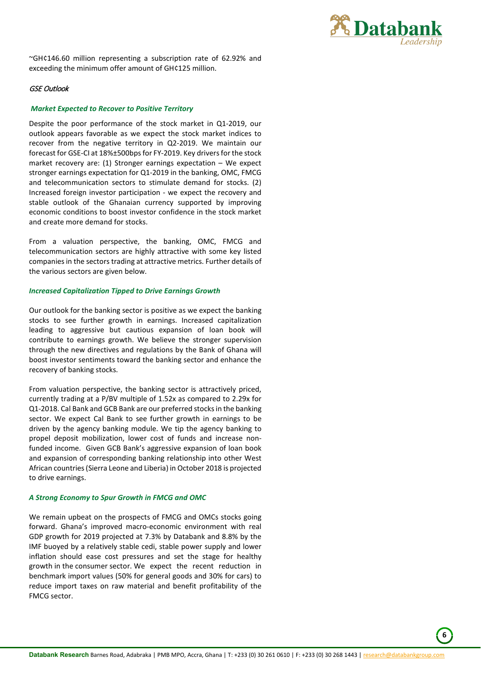

**6**

~GH¢146.60 million representing a subscription rate of 62.92% and exceeding the minimum offer amount of GH¢125 million.

## <span id="page-6-0"></span>GSE Outlook

#### *Market Expected to Recover to Positive Territory*

Despite the poor performance of the stock market in Q1-2019, our outlook appears favorable as we expect the stock market indices to recover from the negative territory in Q2-2019. We maintain our forecast for GSE-CI at 18%±500bps for FY-2019. Key drivers for the stock market recovery are: (1) Stronger earnings expectation – We expect stronger earnings expectation for Q1-2019 in the banking, OMC, FMCG and telecommunication sectors to stimulate demand for stocks. (2) Increased foreign investor participation - we expect the recovery and stable outlook of the Ghanaian currency supported by improving economic conditions to boost investor confidence in the stock market and create more demand for stocks.

From a valuation perspective, the banking, OMC, FMCG and telecommunication sectors are highly attractive with some key listed companies in the sectors trading at attractive metrics. Further details of the various sectors are given below.

#### *Increased Capitalization Tipped to Drive Earnings Growth*

Our outlook for the banking sector is positive as we expect the banking stocks to see further growth in earnings. Increased capitalization leading to aggressive but cautious expansion of loan book will contribute to earnings growth. We believe the stronger supervision through the new directives and regulations by the Bank of Ghana will boost investor sentiments toward the banking sector and enhance the recovery of banking stocks.

From valuation perspective, the banking sector is attractively priced, currently trading at a P/BV multiple of 1.52x as compared to 2.29x for Q1-2018. Cal Bank and GCB Bank are our preferred stocks in the banking sector. We expect Cal Bank to see further growth in earnings to be driven by the agency banking module. We tip the agency banking to propel deposit mobilization, lower cost of funds and increase nonfunded income. Given GCB Bank's aggressive expansion of loan book and expansion of corresponding banking relationship into other West African countries (Sierra Leone and Liberia) in October 2018 is projected to drive earnings.

#### *A Strong Economy to Spur Growth in FMCG and OMC*

We remain upbeat on the prospects of FMCG and OMCs stocks going forward. Ghana's improved macro-economic environment with real GDP growth for 2019 projected at 7.3% by Databank and 8.8% by the IMF buoyed by a relatively stable cedi, stable power supply and lower inflation should ease cost pressures and set the stage for healthy growth in the consumer sector. We expect the recent reduction in benchmark import values (50% for general goods and 30% for cars) to reduce import taxes on raw material and benefit profitability of the FMCG sector.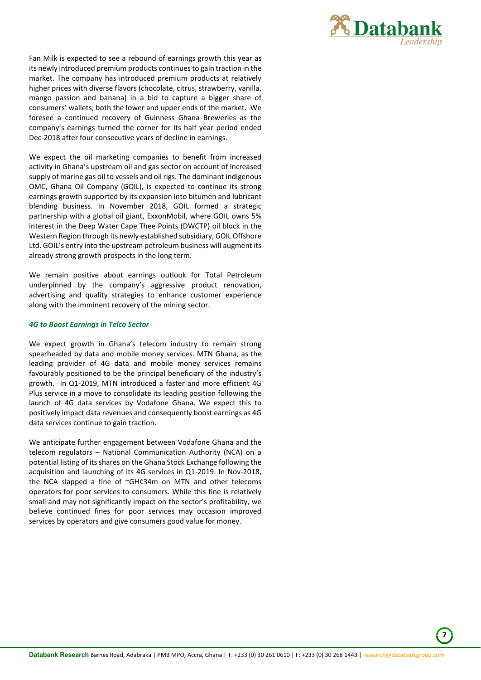

Fan Milk is expected to see a rebound of earnings growth this year as its newly introduced premium products continues to gain traction in the market. The company has introduced premium products at relatively higher prices with diverse flavors (chocolate, citrus, strawberry, vanilla, mango passion and banana) in a bid to capture a bigger share of consumers' wallets, both the lower and upper ends of the market. We foresee a continued recovery of Guinness Ghana Breweries as the company's earnings turned the corner for its half year period ended Dec-2018 after four consecutive years of decline in earnings.

We expect the oil marketing companies to benefit from increased activity in Ghana's upstream oil and gas sector on account of increased supply of marine gas oil to vessels and oil rigs. The dominant indigenous OMC, Ghana Oil Company (GOIL), is expected to continue its strong earnings growth supported by its expansion into bitumen and lubricant blending business. In November 2018, GOIL formed a strategic partnership with a global oil giant, ExxonMobil, where GOIL owns 5% interest in the Deep Water Cape Thee Points (DWCTP) oil block in the Western Region through its newly established subsidiary, GOIL Offshore Ltd. GOIL's entry into the upstream petroleum business will augment its already strong growth prospects in the long term.

We remain positive about earnings outlook for Total Petroleum underpinned by the company's aggressive product renovation, advertising and quality strategies to enhance customer experience along with the imminent recovery of the mining sector.

### *4G to Boost Earnings in Telco Sector*

We expect growth in Ghana's telecom industry to remain strong spearheaded by data and mobile money services. MTN Ghana, as the leading provider of 4G data and mobile money services remains favourably positioned to be the principal beneficiary of the industry's growth. In Q1-2019, MTN introduced a faster and more efficient 4G Plus service in a move to consolidate its leading position following the launch of 4G data services by Vodafone Ghana. We expect this to positively impact data revenues and consequently boost earnings as 4G data services continue to gain traction.

We anticipate further engagement between Vodafone Ghana and the telecom regulators – National Communication Authority (NCA) on a potential listing of its shares on the Ghana Stock Exchange following the acquisition and launching of its 4G services in Q1-2019. In Nov-2018, the NCA slapped a fine of ~GH¢34m on MTN and other telecoms operators for poor services to consumers. While this fine is relatively small and may not significantly impact on the sector's profitability, we believe continued fines for poor services may occasion improved services by operators and give consumers good value for money.

**7**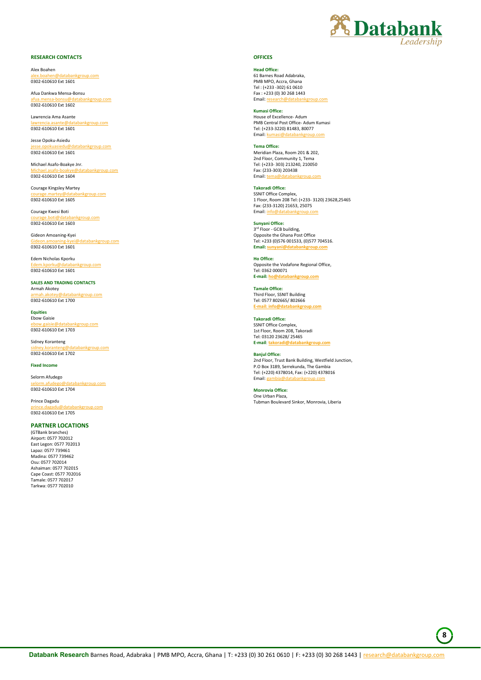

#### **RESEARCH CONTACTS**

Alex Boahen en<br>alex.com 0302-610610 Ext 1601

Afua Dankwa Mensa-Bonsu [afua.mensa-bonsu@databankgroup.com](mailto:afua.mensa-bonsu@databankgroup.com) 0302-610610 Ext 1602

Lawrencia Ama Asante bankgroup.com 0302-610610 Ext 1601

Jesse Opoku-Asiedu atabankgroup.com 0302-610610 Ext 1601

Michael Asafo-Boakye Jnr. atabankgroup.com 0302-610610 Ext 1604

Courage Kingsley Martey ikgroup.com 0302-610610 Ext 1605

Courage Kwesi Boti kgroup.com 0302-610610 Ext 1603

Gideon Amoaning-Kyei adatabankgroup.com 0302-610610 Ext 1601

Edem Nicholas Kporku group.com 0302-610610 Ext 1601

**SALES AND TRADING CONTACTS** Armah Akotey inkgroup.com 0302-610610 Ext 1700

**Equities** Ebow Gaisie ankgroup.com 0302-610610 Ext 1703

Sidney Koranteng databankgroup.com 0302-610610 Ext 1702

**Fixed Income**

Selorm Afudego abankgroup.com 0302-610610 Ext 1704

Prince Dagadu kgroup.com 0302-610610 Ext 1705

#### **PARTNER LOCATIONS**

(GTBank branches) Airport: 0577 702012 East Legon: 0577 702013 Lapaz: 0577 739461 Madina: 0577 739462 Osu: 0577 702014 Ashaiman: 0577 702015 Cape Coast: 0577 702016 Tamale: 0577 702017 Tarkwa: 0577 702010

#### **OFFICES**

**Head Office:** 61 Barnes Road Adabraka, PMB MPO, Accra, Ghana Tel : (+233 -302) 61 0610 Fax : +233 (0) 30 268 1443 Email: re

**Kumasi Office:**

House of Excellence- Adum PMB Central Post Office- Adum Kumasi Tel: (+233-3220) 81483, 80077 Email: ku

**Tema Office:** Meridian Plaza, Room 201 & 202, 2nd Floor, Community 1, Tem Tel: (+233- 303) 213240, 210050 Fax: (233-303) 203438 Email: te

**Takoradi Office:** SSNIT Office Complex, 1 Floor, Room 208 Tel: (+233- 3120) 23628,25465 Fax: (233-3120) 21653, 25075 Email: in

**Sunyani Office:** 3<sup>rd</sup> Floor - GCB building, Opposite the Ghana Post Office Tel: +233 (0)576 001533, (0)577 704516. **Email**: su

**Ho Office:**  Opposite the Vodafone Regional Office, Tel: 0362 000071<br>E-mail: ho@datal **E-mail: [ho@databankgroup.com](mailto:ho@databankgroup.com)**

**Tamale Office:**  Third Floor, SSNIT Building Tel: 0577 802665/ 802666 **E-mail: info@databankgroup.com**

**Takoradi Office:** SSNIT Office Complex, 1st Floor, Room 208, Takoradi Tel: 03120 23628/ 25465 **E-mail**: **takoradi@databankgroup.com**

**Banjul Office:**

2nd Floor, Trust Bank Building, Westfield Junction, P.O Box 3189, Serrekunda, The Gambia Tel: (+220) 4378014, Fax: (+220) 4378016 Email: ga

**Monrovia Office:** One Urban Plaza, Tubman Boulevard Sinkor, Monrovia, Liberia